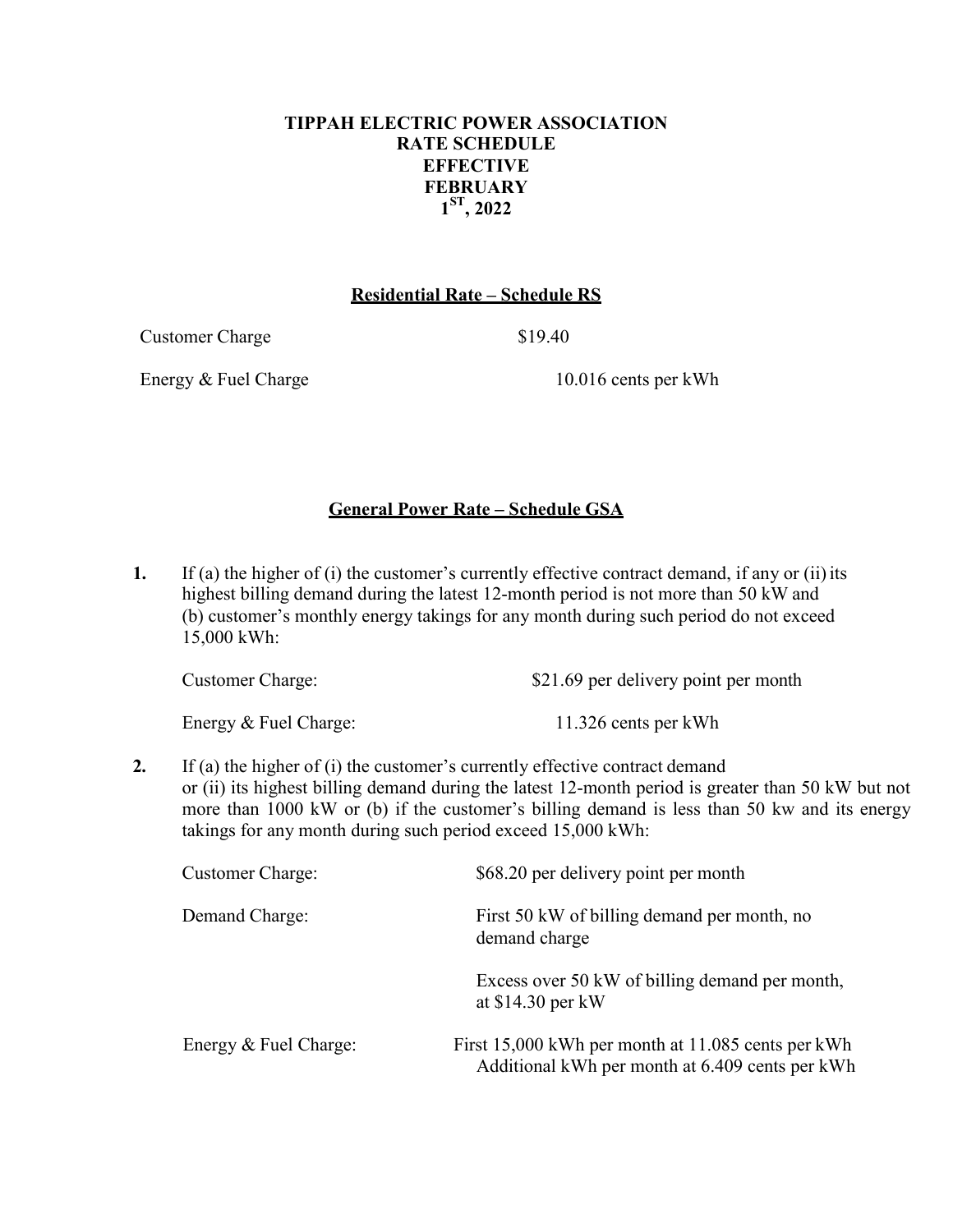## **TIPPAH ELECTRIC POWER ASSOCIATION RATE SCHEDULE EFFECTIVE FEBRUARY 1ST, 2022**

### **Residential Rate – Schedule RS**

Customer Charge \$19.40

Energy & Fuel Charge 10.016 cents per kWh

# **General Power Rate – Schedule GSA**

**1.** If (a) the higher of (i) the customer's currently effective contract demand, if any or (ii) its highest billing demand during the latest 12-month period is not more than 50 kW and (b) customer's monthly energy takings for any month during such period do not exceed 15,000 kWh:

| Customer Charge: | \$21.69 per delivery point per month |
|------------------|--------------------------------------|
|                  |                                      |

Energy & Fuel Charge: 11.326 cents per kWh

**2.** If (a) the higher of (i) the customer's currently effective contract demand or (ii) its highest billing demand during the latest 12-month period is greater than 50 kW but not more than 1000 kW or (b) if the customer's billing demand is less than 50 kw and its energy takings for any month during such period exceed 15,000 kWh:

| <b>Customer Charge:</b> | \$68.20 per delivery point per month                                                                  |  |
|-------------------------|-------------------------------------------------------------------------------------------------------|--|
| Demand Charge:          | First 50 kW of billing demand per month, no<br>demand charge                                          |  |
|                         | Excess over 50 kW of billing demand per month,<br>at $$14.30$ per kW                                  |  |
| Energy & Fuel Charge:   | First 15,000 kWh per month at 11.085 cents per kWh<br>Additional kWh per month at 6.409 cents per kWh |  |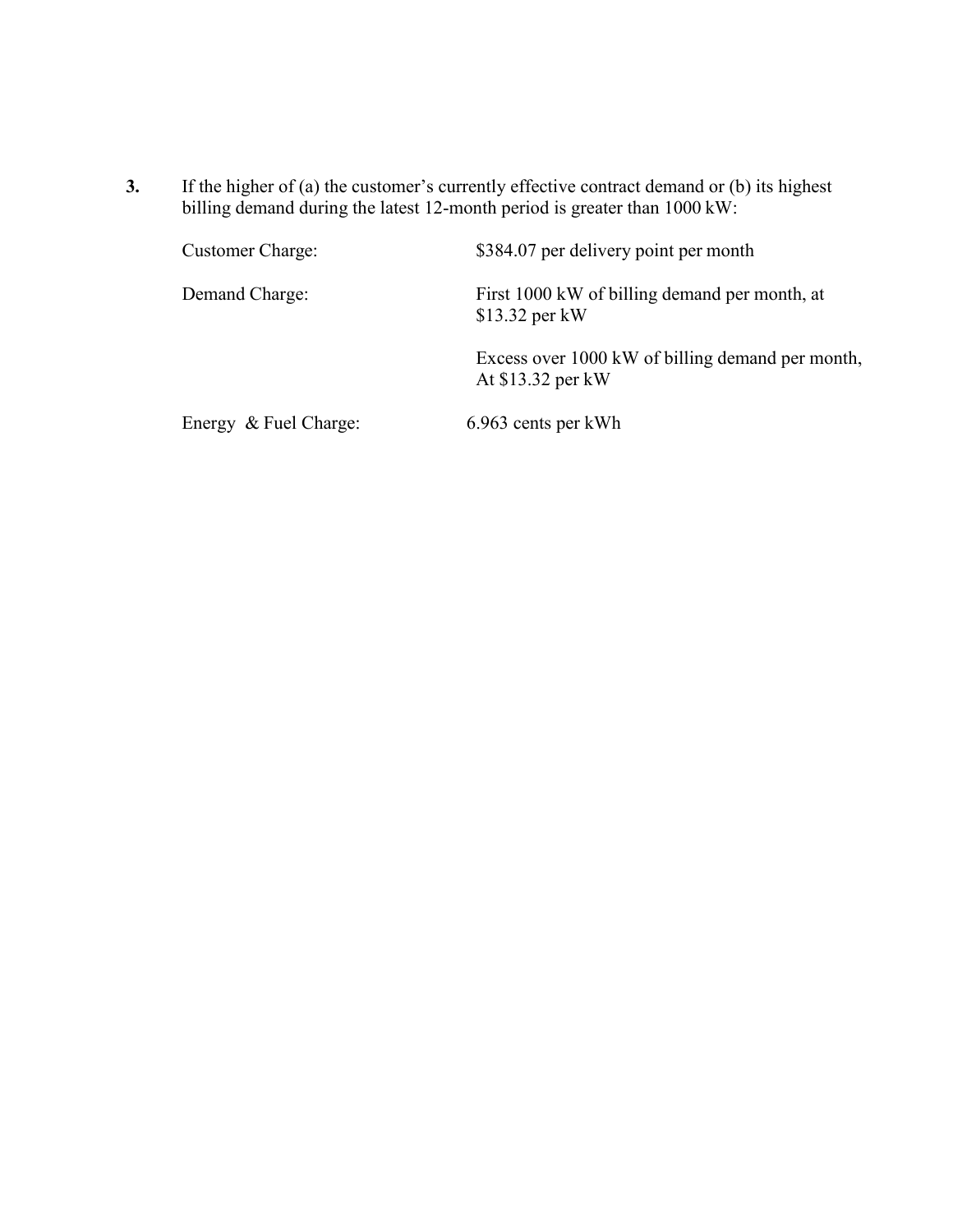**3.** If the higher of (a) the customer's currently effective contract demand or (b) its highest billing demand during the latest 12-month period is greater than 1000 kW:

| <b>Customer Charge:</b> | \$384.07 per delivery point per month                                 |
|-------------------------|-----------------------------------------------------------------------|
| Demand Charge:          | First 1000 kW of billing demand per month, at<br>$$13.32$ per kW      |
|                         | Excess over 1000 kW of billing demand per month,<br>At \$13.32 per kW |
| Energy & Fuel Charge:   | 6.963 cents per kWh                                                   |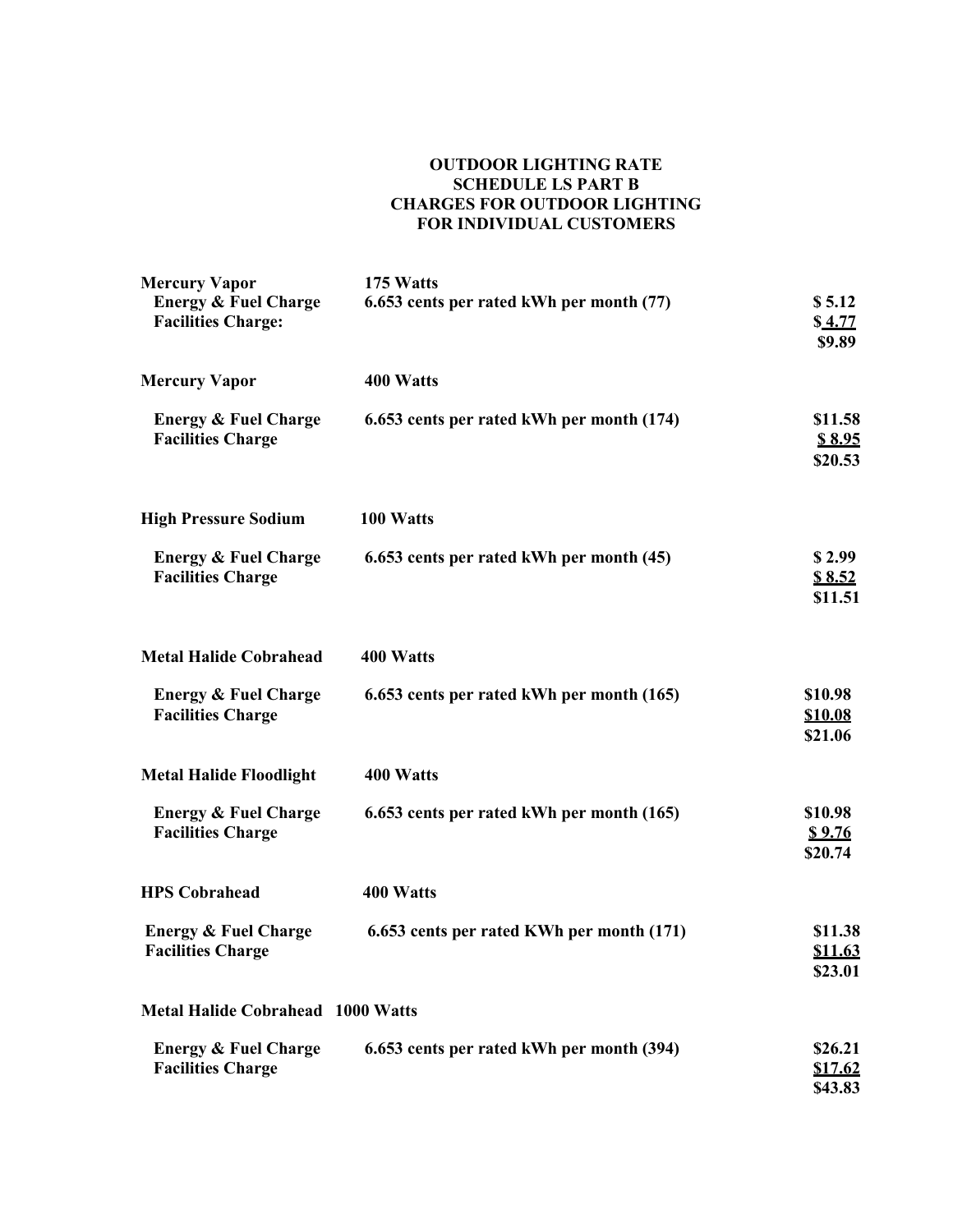#### **OUTDOOR LIGHTING RATE SCHEDULE LS PART B CHARGES FOR OUTDOOR LIGHTING FOR INDIVIDUAL CUSTOMERS**

| <b>Mercury Vapor</b>                                         | 175 Watts                                 |                                      |
|--------------------------------------------------------------|-------------------------------------------|--------------------------------------|
| <b>Energy &amp; Fuel Charge</b><br><b>Facilities Charge:</b> | 6.653 cents per rated kWh per month (77)  | \$5.12<br>\$4.77<br>\$9.89           |
| <b>Mercury Vapor</b>                                         | 400 Watts                                 |                                      |
| <b>Energy &amp; Fuel Charge</b><br><b>Facilities Charge</b>  | 6.653 cents per rated kWh per month (174) | \$11.58<br>\$8.95<br>\$20.53         |
| <b>High Pressure Sodium</b>                                  | 100 Watts                                 |                                      |
| <b>Energy &amp; Fuel Charge</b><br><b>Facilities Charge</b>  | 6.653 cents per rated kWh per month (45)  | \$2.99<br>\$8.52<br>\$11.51          |
| <b>Metal Halide Cobrahead</b>                                | 400 Watts                                 |                                      |
| <b>Energy &amp; Fuel Charge</b><br><b>Facilities Charge</b>  | 6.653 cents per rated kWh per month (165) | \$10.98<br><b>\$10.08</b><br>\$21.06 |
| <b>Metal Halide Floodlight</b>                               | 400 Watts                                 |                                      |
| <b>Energy &amp; Fuel Charge</b><br><b>Facilities Charge</b>  | 6.653 cents per rated kWh per month (165) | \$10.98<br><u>\$9.76</u><br>\$20.74  |
| <b>HPS Cobrahead</b>                                         | 400 Watts                                 |                                      |
| <b>Energy &amp; Fuel Charge</b><br><b>Facilities Charge</b>  | 6.653 cents per rated KWh per month (171) | \$11.38<br><u>\$11.63</u><br>\$23.01 |
| <b>Metal Halide Cobrahead 1000 Watts</b>                     |                                           |                                      |
| <b>Energy &amp; Fuel Charge</b><br><b>Facilities Charge</b>  | 6.653 cents per rated kWh per month (394) | \$26.21<br>\$17.62<br>\$43.83        |